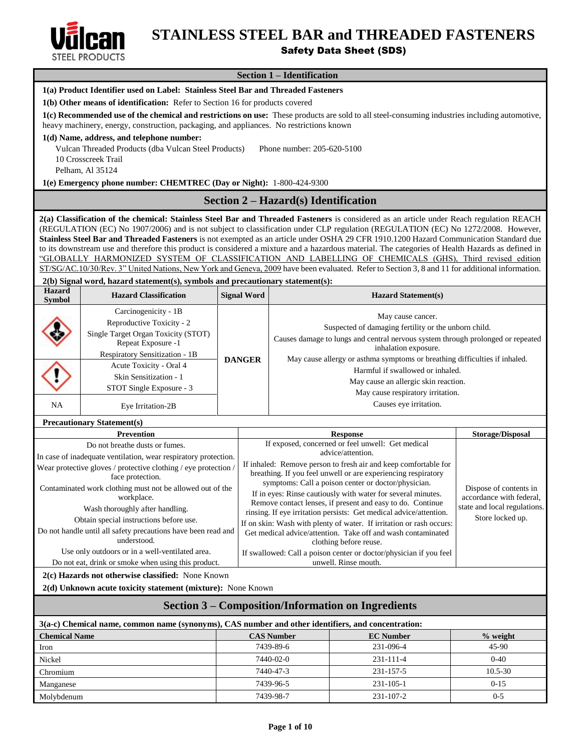

# **STAINLESS STEEL BAR and THREADED FASTENERS**

# Safety Data Sheet (SDS)

# **Section 1 – Identification**

|                      |                                                                                                                                                                                                                                          |               |                                                                                                                                                                  | ресион 1 – <b>п</b> енинсанон                                                                                                                                                                                                                                              |                         |  |
|----------------------|------------------------------------------------------------------------------------------------------------------------------------------------------------------------------------------------------------------------------------------|---------------|------------------------------------------------------------------------------------------------------------------------------------------------------------------|----------------------------------------------------------------------------------------------------------------------------------------------------------------------------------------------------------------------------------------------------------------------------|-------------------------|--|
|                      | 1(a) Product Identifier used on Label: Stainless Steel Bar and Threaded Fasteners                                                                                                                                                        |               |                                                                                                                                                                  |                                                                                                                                                                                                                                                                            |                         |  |
|                      | 1(b) Other means of identification: Refer to Section 16 for products covered                                                                                                                                                             |               |                                                                                                                                                                  |                                                                                                                                                                                                                                                                            |                         |  |
|                      | 1(c) Recommended use of the chemical and restrictions on use: These products are sold to all steel-consuming industries including automotive,<br>heavy machinery, energy, construction, packaging, and appliances. No restrictions known |               |                                                                                                                                                                  |                                                                                                                                                                                                                                                                            |                         |  |
|                      | 1(d) Name, address, and telephone number:                                                                                                                                                                                                |               |                                                                                                                                                                  |                                                                                                                                                                                                                                                                            |                         |  |
|                      | Vulcan Threaded Products (dba Vulcan Steel Products)                                                                                                                                                                                     |               |                                                                                                                                                                  | Phone number: 205-620-5100                                                                                                                                                                                                                                                 |                         |  |
|                      | 10 Crosscreek Trail                                                                                                                                                                                                                      |               |                                                                                                                                                                  |                                                                                                                                                                                                                                                                            |                         |  |
|                      | Pelham, Al 35124                                                                                                                                                                                                                         |               |                                                                                                                                                                  |                                                                                                                                                                                                                                                                            |                         |  |
|                      | 1(e) Emergency phone number: CHEMTREC (Day or Night): 1-800-424-9300                                                                                                                                                                     |               |                                                                                                                                                                  |                                                                                                                                                                                                                                                                            |                         |  |
|                      |                                                                                                                                                                                                                                          |               |                                                                                                                                                                  | Section $2 - \text{Hazard}(s)$ Identification                                                                                                                                                                                                                              |                         |  |
|                      |                                                                                                                                                                                                                                          |               |                                                                                                                                                                  | 2(a) Classification of the chemical: Stainless Steel Bar and Threaded Fasteners is considered as an article under Reach regulation REACH                                                                                                                                   |                         |  |
|                      |                                                                                                                                                                                                                                          |               |                                                                                                                                                                  | (REGULATION (EC) No 1907/2006) and is not subject to classification under CLP regulation (REGULATION (EC) No 1272/2008. However,<br>Stainless Steel Bar and Threaded Fasteners is not exempted as an article under OSHA 29 CFR 1910.1200 Hazard Communication Standard due |                         |  |
|                      |                                                                                                                                                                                                                                          |               |                                                                                                                                                                  | to its downstream use and therefore this product is considered a mixture and a hazardous material. The categories of Health Hazards as defined in                                                                                                                          |                         |  |
|                      |                                                                                                                                                                                                                                          |               |                                                                                                                                                                  | "GLOBALLY HARMONIZED SYSTEM OF CLASSIFICATION AND LABELLING OF CHEMICALS (GHS), Third revised edition                                                                                                                                                                      |                         |  |
|                      |                                                                                                                                                                                                                                          |               |                                                                                                                                                                  | ST/SG/AC.10/30/Rev. 3" United Nations, New York and Geneva, 2009 have been evaluated. Refer to Section 3, 8 and 11 for additional information.                                                                                                                             |                         |  |
| <b>Hazard</b>        | 2(b) Signal word, hazard statement(s), symbols and precautionary statement(s):                                                                                                                                                           |               |                                                                                                                                                                  |                                                                                                                                                                                                                                                                            |                         |  |
| <b>Symbol</b>        | <b>Hazard Classification</b>                                                                                                                                                                                                             |               | <b>Signal Word</b>                                                                                                                                               | <b>Hazard Statement(s)</b>                                                                                                                                                                                                                                                 |                         |  |
|                      | Carcinogenicity - 1B                                                                                                                                                                                                                     |               |                                                                                                                                                                  | May cause cancer.                                                                                                                                                                                                                                                          |                         |  |
|                      | Reproductive Toxicity - 2<br>Single Target Organ Toxicity (STOT)                                                                                                                                                                         |               |                                                                                                                                                                  | Suspected of damaging fertility or the unborn child.                                                                                                                                                                                                                       |                         |  |
|                      | Repeat Exposure -1                                                                                                                                                                                                                       |               |                                                                                                                                                                  | Causes damage to lungs and central nervous system through prolonged or repeated                                                                                                                                                                                            |                         |  |
|                      | Respiratory Sensitization - 1B                                                                                                                                                                                                           | <b>DANGER</b> |                                                                                                                                                                  | inhalation exposure.<br>May cause allergy or asthma symptoms or breathing difficulties if inhaled.                                                                                                                                                                         |                         |  |
|                      | Acute Toxicity - Oral 4                                                                                                                                                                                                                  |               |                                                                                                                                                                  | Harmful if swallowed or inhaled.                                                                                                                                                                                                                                           |                         |  |
|                      | Skin Sensitization - 1                                                                                                                                                                                                                   |               |                                                                                                                                                                  | May cause an allergic skin reaction.                                                                                                                                                                                                                                       |                         |  |
|                      | STOT Single Exposure - 3                                                                                                                                                                                                                 |               |                                                                                                                                                                  | May cause respiratory irritation.                                                                                                                                                                                                                                          |                         |  |
| NA                   | Causes eye irritation.<br>Eye Irritation-2B                                                                                                                                                                                              |               |                                                                                                                                                                  |                                                                                                                                                                                                                                                                            |                         |  |
|                      | <b>Precautionary Statement(s)</b>                                                                                                                                                                                                        |               |                                                                                                                                                                  |                                                                                                                                                                                                                                                                            |                         |  |
|                      | <b>Prevention</b>                                                                                                                                                                                                                        |               |                                                                                                                                                                  | <b>Response</b>                                                                                                                                                                                                                                                            | <b>Storage/Disposal</b> |  |
|                      | Do not breathe dusts or fumes.                                                                                                                                                                                                           |               |                                                                                                                                                                  | If exposed, concerned or feel unwell: Get medical<br>advice/attention.                                                                                                                                                                                                     |                         |  |
|                      | In case of inadequate ventilation, wear respiratory protection.                                                                                                                                                                          |               |                                                                                                                                                                  | If inhaled: Remove person to fresh air and keep comfortable for                                                                                                                                                                                                            |                         |  |
|                      | Wear protective gloves / protective clothing / eye protection /<br>face protection.                                                                                                                                                      |               |                                                                                                                                                                  | breathing. If you feel unwell or are experiencing respiratory                                                                                                                                                                                                              |                         |  |
|                      | Contaminated work clothing must not be allowed out of the                                                                                                                                                                                |               |                                                                                                                                                                  | symptoms: Call a poison center or doctor/physician.                                                                                                                                                                                                                        | Dispose of contents in  |  |
|                      | workplace.                                                                                                                                                                                                                               |               | If in eyes: Rinse cautiously with water for several minutes.<br>accordance with federal,                                                                         |                                                                                                                                                                                                                                                                            |                         |  |
|                      | Wash thoroughly after handling.                                                                                                                                                                                                          |               | Remove contact lenses, if present and easy to do. Continue<br>state and local regulations.<br>rinsing. If eye irritation persists: Get medical advice/attention. |                                                                                                                                                                                                                                                                            |                         |  |
|                      | Obtain special instructions before use.                                                                                                                                                                                                  |               |                                                                                                                                                                  | If on skin: Wash with plenty of water. If irritation or rash occurs:                                                                                                                                                                                                       | Store locked up.        |  |
|                      | Do not handle until all safety precautions have been read and<br>understood.                                                                                                                                                             |               |                                                                                                                                                                  | Get medical advice/attention. Take off and wash contaminated<br>clothing before reuse.                                                                                                                                                                                     |                         |  |
|                      | Use only outdoors or in a well-ventilated area.                                                                                                                                                                                          |               |                                                                                                                                                                  | If swallowed: Call a poison center or doctor/physician if you feel                                                                                                                                                                                                         |                         |  |
|                      | Do not eat, drink or smoke when using this product.                                                                                                                                                                                      |               |                                                                                                                                                                  | unwell. Rinse mouth.                                                                                                                                                                                                                                                       |                         |  |
|                      | 2(c) Hazards not otherwise classified: None Known                                                                                                                                                                                        |               |                                                                                                                                                                  |                                                                                                                                                                                                                                                                            |                         |  |
|                      | 2(d) Unknown acute toxicity statement (mixture): None Known                                                                                                                                                                              |               |                                                                                                                                                                  |                                                                                                                                                                                                                                                                            |                         |  |
|                      |                                                                                                                                                                                                                                          |               |                                                                                                                                                                  | <b>Section 3 – Composition/Information on Ingredients</b>                                                                                                                                                                                                                  |                         |  |
|                      |                                                                                                                                                                                                                                          |               |                                                                                                                                                                  | 3(a-c) Chemical name, common name (synonyms), CAS number and other identifiers, and concentration:                                                                                                                                                                         |                         |  |
| <b>Chemical Name</b> |                                                                                                                                                                                                                                          |               |                                                                                                                                                                  | <b>CAS Number</b><br><b>EC Number</b>                                                                                                                                                                                                                                      | % weight                |  |
| Iron                 |                                                                                                                                                                                                                                          |               |                                                                                                                                                                  | 7439-89-6<br>231-096-4                                                                                                                                                                                                                                                     | 45-90                   |  |
| Nickel               |                                                                                                                                                                                                                                          |               |                                                                                                                                                                  | 7440-02-0<br>231-111-4                                                                                                                                                                                                                                                     | $0 - 40$                |  |
| Chromium             |                                                                                                                                                                                                                                          |               |                                                                                                                                                                  | 7440-47-3<br>231-157-5                                                                                                                                                                                                                                                     | $10.5 - 30$             |  |
| Manganese            |                                                                                                                                                                                                                                          |               |                                                                                                                                                                  | 7439-96-5<br>231-105-1                                                                                                                                                                                                                                                     | $0 - 15$                |  |
| Molybdenum           |                                                                                                                                                                                                                                          |               |                                                                                                                                                                  | 7439-98-7<br>231-107-2                                                                                                                                                                                                                                                     | $0 - 5$                 |  |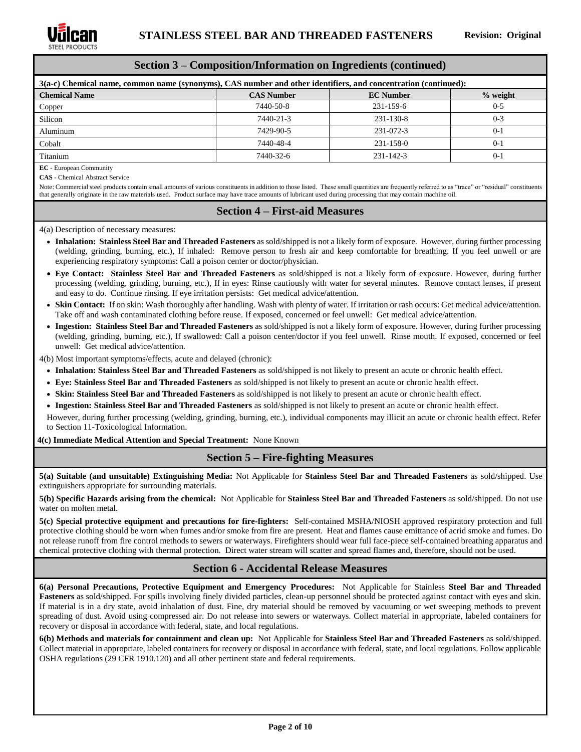

### **Section 3 – Composition/Information on Ingredients (continued)**

| 3(a-c) Chemical name, common name (synonyms), CAS number and other identifiers, and concentration (continued): |                   |                  |            |  |  |
|----------------------------------------------------------------------------------------------------------------|-------------------|------------------|------------|--|--|
| <b>Chemical Name</b>                                                                                           | <b>CAS Number</b> | <b>EC</b> Number | $%$ weight |  |  |
| Copper                                                                                                         | 7440-50-8         | $231 - 159 - 6$  | $0 - 5$    |  |  |
| Silicon                                                                                                        | 7440-21-3         | $231 - 130 - 8$  | $0 - 3$    |  |  |
| Aluminum                                                                                                       | 7429-90-5         | 231-072-3        | $0-1$      |  |  |
| Cobalt                                                                                                         | 7440-48-4         | 231-158-0        | $0-1$      |  |  |
| Titanium                                                                                                       | 7440-32-6         | $231 - 142 - 3$  | $0-1$      |  |  |

**EC** - European Community

**CAS** - Chemical Abstract Service

Note: Commercial steel products contain small amounts of various constituents in addition to those listed. These small quantities are frequently referred to as "trace" or "residual" constituents that generally originate in the raw materials used. Product surface may have trace amounts of lubricant used during processing that may contain machine oil.

### **Section 4 – First-aid Measures**

4(a) Description of necessary measures:

- **Inhalation: Stainless Steel Bar and Threaded Fasteners** as sold/shipped is not a likely form of exposure. However, during further processing (welding, grinding, burning, etc.), If inhaled: Remove person to fresh air and keep comfortable for breathing. If you feel unwell or are experiencing respiratory symptoms: Call a poison center or doctor/physician.
- **Eye Contact: Stainless Steel Bar and Threaded Fasteners** as sold/shipped is not a likely form of exposure. However, during further processing (welding, grinding, burning, etc.), If in eyes: Rinse cautiously with water for several minutes. Remove contact lenses, if present and easy to do. Continue rinsing. If eye irritation persists: Get medical advice/attention.
- **Skin Contact:** If on skin: Wash thoroughly after handling. Wash with plenty of water. If irritation or rash occurs: Get medical advice/attention. Take off and wash contaminated clothing before reuse. If exposed, concerned or feel unwell: Get medical advice/attention.
- **Ingestion: Stainless Steel Bar and Threaded Fasteners** as sold/shipped is not a likely form of exposure. However, during further processing (welding, grinding, burning, etc.), If swallowed: Call a poison center/doctor if you feel unwell. Rinse mouth. If exposed, concerned or feel unwell: Get medical advice/attention.

4(b) Most important symptoms/effects, acute and delayed (chronic):

- **Inhalation: Stainless Steel Bar and Threaded Fasteners** as sold/shipped is not likely to present an acute or chronic health effect.
- **Eye: Stainless Steel Bar and Threaded Fasteners** as sold/shipped is not likely to present an acute or chronic health effect.
- **Skin: Stainless Steel Bar and Threaded Fasteners** as sold/shipped is not likely to present an acute or chronic health effect.

• **Ingestion: Stainless Steel Bar and Threaded Fasteners** as sold/shipped is not likely to present an acute or chronic health effect.

However, during further processing (welding, grinding, burning, etc.), individual components may illicit an acute or chronic health effect. Refer to Section 11-Toxicological Information.

**4(c) Immediate Medical Attention and Special Treatment:** None Known

### **Section 5 – Fire-fighting Measures**

**5(a) Suitable (and unsuitable) Extinguishing Media:** Not Applicable for **Stainless Steel Bar and Threaded Fasteners** as sold/shipped. Use extinguishers appropriate for surrounding materials.

**5(b) Specific Hazards arising from the chemical:** Not Applicable for **Stainless Steel Bar and Threaded Fasteners** as sold/shipped. Do not use water on molten metal.

**5(c) Special protective equipment and precautions for fire-fighters:** Self-contained MSHA/NIOSH approved respiratory protection and full protective clothing should be worn when fumes and/or smoke from fire are present. Heat and flames cause emittance of acrid smoke and fumes. Do not release runoff from fire control methods to sewers or waterways. Firefighters should wear full face-piece self-contained breathing apparatus and chemical protective clothing with thermal protection. Direct water stream will scatter and spread flames and, therefore, should not be used.

### **Section 6 - Accidental Release Measures**

**6(a) Personal Precautions, Protective Equipment and Emergency Procedures:** Not Applicable for Stainless **Steel Bar and Threaded Fasteners** as sold/shipped. For spills involving finely divided particles, clean-up personnel should be protected against contact with eyes and skin. If material is in a dry state, avoid inhalation of dust. Fine, dry material should be removed by vacuuming or wet sweeping methods to prevent spreading of dust. Avoid using compressed air. Do not release into sewers or waterways. Collect material in appropriate, labeled containers for recovery or disposal in accordance with federal, state, and local regulations.

**6(b) Methods and materials for containment and clean up:** Not Applicable for **Stainless Steel Bar and Threaded Fasteners** as sold/shipped. Collect material in appropriate, labeled containers for recovery or disposal in accordance with federal, state, and local regulations. Follow applicable OSHA regulations (29 CFR 1910.120) and all other pertinent state and federal requirements.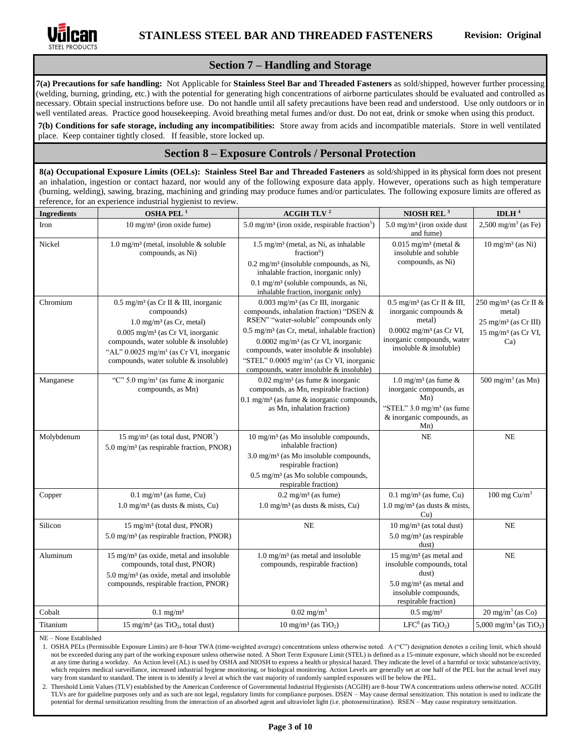

### **Section 7 – Handling and Storage**

**7(a) Precautions for safe handling:** Not Applicable for **Stainless Steel Bar and Threaded Fasteners** as sold/shipped, however further processing (welding, burning, grinding, etc.) with the potential for generating high concentrations of airborne particulates should be evaluated and controlled as necessary. Obtain special instructions before use. Do not handle until all safety precautions have been read and understood. Use only outdoors or in well ventilated areas. Practice good housekeeping. Avoid breathing metal fumes and/or dust. Do not eat, drink or smoke when using this product.

**7(b) Conditions for safe storage, including any incompatibilities:** Store away from acids and incompatible materials. Store in well ventilated place. Keep container tightly closed. If feasible, store locked up.

### **Section 8 – Exposure Controls / Personal Protection**

**8(a) Occupational Exposure Limits (OELs): Stainless Steel Bar and Threaded Fasteners** as sold/shipped in its physical form does not present an inhalation, ingestion or contact hazard, nor would any of the following exposure data apply. However, operations such as high temperature (burning, welding), sawing, brazing, machining and grinding may produce fumes and/or particulates. The following exposure limits are offered as reference, for an experience industrial hygienist to review.

| <b>Ingredients</b> | OSHA PEL <sup>1</sup>                                                                                                                                                                                                                                                                             | ACGIH TLV $^2$                                                                                                                                                                                                                                                                                                                                                                                    | NIOSH REL $^3$                                                                                                                                                            | IDLH $4$                                                                                                               |
|--------------------|---------------------------------------------------------------------------------------------------------------------------------------------------------------------------------------------------------------------------------------------------------------------------------------------------|---------------------------------------------------------------------------------------------------------------------------------------------------------------------------------------------------------------------------------------------------------------------------------------------------------------------------------------------------------------------------------------------------|---------------------------------------------------------------------------------------------------------------------------------------------------------------------------|------------------------------------------------------------------------------------------------------------------------|
| Iron               | $10 \text{ mg/m}^3$ (iron oxide fume)                                                                                                                                                                                                                                                             | 5.0 mg/m <sup>3</sup> (iron oxide, respirable fraction <sup>5</sup> )                                                                                                                                                                                                                                                                                                                             | $5.0 \text{ mg/m}^3$ (iron oxide dust<br>and fume)                                                                                                                        | 2,500 mg/m <sup>3</sup> (as Fe)                                                                                        |
| Nickel             | 1.0 mg/m <sup>3</sup> (metal, insoluble $\&$ soluble<br>compounds, as Ni)                                                                                                                                                                                                                         | $1.5 \text{ mg/m}^3$ (metal, as Ni, as inhalable<br>$fraction6$ )<br>$0.2$ mg/m <sup>3</sup> (insoluble compounds, as Ni,<br>inhalable fraction, inorganic only)<br>0.1 mg/m <sup>3</sup> (soluble compounds, as Ni,<br>inhalable fraction, inorganic only)                                                                                                                                       | $0.015$ mg/m <sup>3</sup> (metal &<br>insoluble and soluble<br>compounds, as Ni)                                                                                          | $10 \text{ mg/m}^3$ (as Ni)                                                                                            |
| Chromium           | $0.5$ mg/m <sup>3</sup> (as Cr II & III, inorganic<br>compounds)<br>$1.0 \text{ mg/m}^3$ (as Cr, metal)<br>$0.005$ mg/m <sup>3</sup> (as Cr VI, inorganic<br>compounds, water soluble & insoluble)<br>"AL" 0.0025 mg/m <sup>3</sup> (as Cr VI, inorganic<br>compounds, water soluble & insoluble) | $0.003$ mg/m <sup>3</sup> (as Cr III, inorganic<br>compounds, inhalation fraction) "DSEN &<br>RSEN" "water-soluble" compounds only<br>$0.5$ mg/m <sup>3</sup> (as Cr, metal, inhalable fraction)<br>$0.0002$ mg/m <sup>3</sup> (as Cr VI, inorganic<br>compounds, water insoluble & insoluble)<br>"STEL" 0.0005 mg/m <sup>3</sup> (as Cr VI, inorganic<br>compounds, water insoluble & insoluble) | $0.5 \text{ mg/m}^3$ (as Cr II & III,<br>inorganic compounds &<br>metal)<br>$0.0002$ mg/m <sup>3</sup> (as Cr VI,<br>inorganic compounds, water<br>insoluble & insoluble) | $250 \text{ mg/m}^3$ (as Cr II &<br>metal)<br>$25 \text{ mg/m}^3$ (as Cr III)<br>$15 \text{ mg/m}^3$ (as Cr VI,<br>Ca) |
| Manganese          | "C" 5.0 mg/m <sup>3</sup> (as fume $\&$ inorganic<br>compounds, as Mn)                                                                                                                                                                                                                            | $0.02$ mg/m <sup>3</sup> (as fume & inorganic<br>compounds, as Mn, respirable fraction)<br>0.1 mg/m <sup>3</sup> (as fume $\&$ inorganic compounds,<br>as Mn, inhalation fraction)                                                                                                                                                                                                                | 1.0 mg/m <sup>3</sup> (as fume $\&$<br>inorganic compounds, as<br>Mn)<br>"STEL" $3.0 \text{ mg/m}^3$ (as fume<br>& inorganic compounds, as<br>Mn)                         | 500 mg/m <sup>3</sup> (as Mn)                                                                                          |
| Molybdenum         | 15 mg/m <sup>3</sup> (as total dust, $PNOR7$ )<br>$5.0 \text{ mg/m}^3$ (as respirable fraction, PNOR)                                                                                                                                                                                             | 10 mg/m <sup>3</sup> (as Mo insoluble compounds,<br>inhalable fraction)<br>$3.0 \text{ mg/m}^3$ (as Mo insoluble compounds,<br>respirable fraction)<br>$0.5 \text{ mg/m}^3$ (as Mo soluble compounds,<br>respirable fraction)                                                                                                                                                                     | <b>NE</b>                                                                                                                                                                 | NE                                                                                                                     |
| Copper             | $0.1$ mg/m <sup>3</sup> (as fume, Cu)<br>1.0 mg/m <sup>3</sup> (as dusts $\&$ mists, Cu)                                                                                                                                                                                                          | $0.2 \text{ mg/m}^3$ (as fume)<br>$1.0 \text{ mg/m}^3$ (as dusts & mists, Cu)                                                                                                                                                                                                                                                                                                                     | $0.1$ mg/m <sup>3</sup> (as fume, Cu)<br>$1.0 \text{ mg/m}^3$ (as dusts & mists,<br>Cu)                                                                                   | 100 mg $Cu/m3$                                                                                                         |
| Silicon            | 15 mg/m <sup>3</sup> (total dust, PNOR)<br>$5.0 \text{ mg/m}^3$ (as respirable fraction, PNOR)                                                                                                                                                                                                    | <b>NE</b>                                                                                                                                                                                                                                                                                                                                                                                         | $10 \text{ mg/m}^3$ (as total dust)<br>$5.0 \text{ mg/m}^3$ (as respirable<br>dust)                                                                                       | <b>NE</b>                                                                                                              |
| Aluminum           | $15 \text{ mg/m}^3$ (as oxide, metal and insoluble<br>compounds, total dust, PNOR)<br>$5.0 \text{ mg/m}^3$ (as oxide, metal and insoluble<br>compounds, respirable fraction, PNOR)                                                                                                                | $1.0 \text{ mg/m}^3$ (as metal and insoluble<br>compounds, respirable fraction)                                                                                                                                                                                                                                                                                                                   | $15 \text{ mg/m}^3$ (as metal and<br>insoluble compounds, total<br>dust)<br>$5.0 \text{ mg/m}^3$ (as metal and<br>insoluble compounds,<br>respirable fraction)            | NE                                                                                                                     |
| Cobalt             | $0.1$ mg/m <sup>3</sup>                                                                                                                                                                                                                                                                           | $0.02 \text{ mg/m}^3$                                                                                                                                                                                                                                                                                                                                                                             | $0.5 \text{ mg/m}^3$                                                                                                                                                      | $20$ mg/m <sup>3</sup> (as Co)                                                                                         |
| Titanium           | 15 mg/m <sup>3</sup> (as $TiO2$ , total dust)                                                                                                                                                                                                                                                     | $10 \text{ mg/m}^3$ (as TiO <sub>2</sub> )                                                                                                                                                                                                                                                                                                                                                        | $LFC8$ (as TiO <sub>2</sub> )                                                                                                                                             | 5,000 mg/m <sup>3</sup> (as $TiO2$ )                                                                                   |

NE – None Established

1. OSHA PELs (Permissible Exposure Limits) are 8-hour TWA (time-weighted average) concentrations unless otherwise noted. A ("C") designation denotes a ceiling limit, which should not be exceeded during any part of the working exposure unless otherwise noted. A Short Term Exposure Limit (STEL) is defined as a 15-minute exposure, which should not be exceeded at any time during a workday. An Action level (AL) is used b[y OSHA](http://www.ilpi.com/msds/ref/osha.html) an[d NIOSH](http://www.ilpi.com/msds/ref/niosh.html) to express a health or physical hazard. They indicate the level of a harmful or toxic substance/activity, which requires medical surveillance, increased industrial hygiene monitoring, or biological monitoring. Action Levels are generally set at one half of the PEL but the actual level may vary from standard to standard. The intent is to identify a level at which the vast majority of randomly sampled exposures will be below the PEL.

2. Threshold Limit Values (TLV) established by the American Conference of Governmental Industrial Hygienists (ACGIH) are 8-hour TWA concentrations unless otherwise noted. ACGIH TLVs are for guideline purposes only and as such are not legal, regulatory limits for compliance purposes. DSEN – May cause dermal sensitization. This notation is used to indicate the potential for dermal sensitization resulting from the interaction of an absorbed agent and ultraviolet light (i.e. photosensitization). RSEN – May cause respiratory sensitization.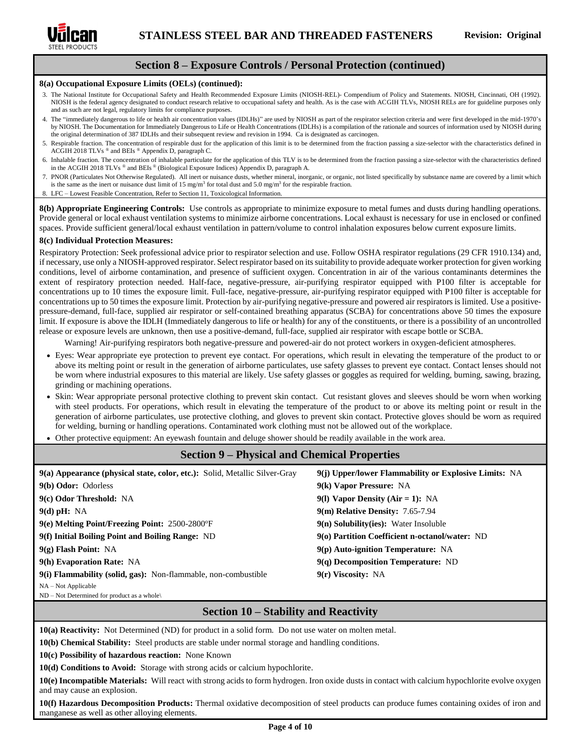

### **Section 8 – Exposure Controls / Personal Protection (continued)**

#### **8(a) Occupational Exposure Limits (OELs) (continued):**

- 3. The National Institute for Occupational Safety and Health Recommended Exposure Limits (NIOSH-REL)- Compendium of Policy and Statements. NIOSH, Cincinnati, OH (1992). NIOSH is the federal agency designated to conduct research relative to occupational safety and health. As is the case with ACGIH TLVs, NIOSH RELs are for guideline purposes only and as such are not legal, regulatory limits for compliance purposes.
- 4. The "immediately dangerous to life or health air concentration values (IDLHs)" are used by NIOSH as part of the respirator selection criteria and were first developed in the mid-1970's by NIOSH. The Documentation for Immediately Dangerous to Life or Health Concentrations (IDLHs) is a compilation of the rationale and sources of information used by NIOSH during the original determination of 387 IDLHs and their subsequent review and revision in 1994. Ca is designated as carcinogen.
- 5. Respirable fraction. The concentration of respirable dust for the application of this limit is to be determined from the fraction passing a size-selector with the characteristics defined in ACGIH 2018 TLVs ® and BEIs ® Appendix D, paragraph C.
- 6. Inhalable fraction. The concentration of inhalable particulate for the application of this TLV is to be determined from the fraction passing a size-selector with the characteristics defined in the ACGIH 2018 TLVs ® and BEIs ® (Biological Exposure Indices) Appendix D, paragraph A.
- 7. PNOR (Particulates Not Otherwise Regulated). All inert or nuisance dusts, whether mineral, inorganic, or organic, not listed specifically by substance name are covered by a limit which is the same as the inert or nuisance dust limit of 15 mg/m<sup>3</sup> for total dust and 5.0 mg/m<sup>3</sup> for the respirable fraction.
- 8. LFC Lowest Feasible Concentration, Refer to Section 11, Toxicological Information.

**8(b) Appropriate Engineering Controls:** Use controls as appropriate to minimize exposure to metal fumes and dusts during handling operations. Provide general or local exhaust ventilation systems to minimize airborne concentrations. Local exhaust is necessary for use in enclosed or confined spaces. Provide sufficient general/local exhaust ventilation in pattern/volume to control inhalation exposures below current exposure limits.

#### **8(c) Individual Protection Measures:**

Respiratory Protection: Seek professional advice prior to respirator selection and use. Follow OSHA respirator regulations (29 CFR 1910.134) and, if necessary, use only a NIOSH-approved respirator. Select respirator based on its suitability to provide adequate worker protection for given working conditions, level of airborne contamination, and presence of sufficient oxygen. Concentration in air of the various contaminants determines the extent of respiratory protection needed. Half-face, negative-pressure, air-purifying respirator equipped with P100 filter is acceptable for concentrations up to 10 times the exposure limit. Full-face, negative-pressure, air-purifying respirator equipped with P100 filter is acceptable for concentrations up to 50 times the exposure limit. Protection by air-purifying negative-pressure and powered air respirators is limited. Use a positivepressure-demand, full-face, supplied air respirator or self-contained breathing apparatus (SCBA) for concentrations above 50 times the exposure limit. If exposure is above the IDLH (Immediately dangerous to life or health) for any of the constituents, or there is a possibility of an uncontrolled release or exposure levels are unknown, then use a positive-demand, full-face, supplied air respirator with escape bottle or SCBA.

Warning! Air-purifying respirators both negative-pressure and powered-air do not protect workers in oxygen-deficient atmospheres.

- Eyes: Wear appropriate eye protection to prevent eye contact. For operations, which result in elevating the temperature of the product to or above its melting point or result in the generation of airborne particulates, use safety glasses to prevent eye contact. Contact lenses should not be worn where industrial exposures to this material are likely. Use safety glasses or goggles as required for welding, burning, sawing, brazing, grinding or machining operations.
- Skin: Wear appropriate personal protective clothing to prevent skin contact. Cut resistant gloves and sleeves should be worn when working with steel products. For operations, which result in elevating the temperature of the product to or above its melting point or result in the generation of airborne particulates, use protective clothing, and gloves to prevent skin contact. Protective gloves should be worn as required for welding, burning or handling operations. Contaminated work clothing must not be allowed out of the workplace.
- Other protective equipment: An eyewash fountain and deluge shower should be readily available in the work area.

#### **Section 9 – Physical and Chemical Properties**

| 9(a) Appearance (physical state, color, etc.): Solid, Metallic Silver-Gray<br>9(b) Odor: Odorless<br>9(c) Odor Threshold: NA<br>$9(d)$ pH: NA | 9(j) Upper/lower Flammability or Explosive Limits: NA<br>9(k) Vapor Pressure: NA<br>9(1) Vapor Density (Air = 1): NA<br><b>9(m) Relative Density: 7.65-7.94</b> |
|-----------------------------------------------------------------------------------------------------------------------------------------------|-----------------------------------------------------------------------------------------------------------------------------------------------------------------|
| 9(e) Melting Point/Freezing Point: 2500-2800°F                                                                                                | $9(n)$ Solubility(ies): Water Insoluble                                                                                                                         |
| 9(f) Initial Boiling Point and Boiling Range: ND                                                                                              | 9(o) Partition Coefficient n-octanol/water: ND                                                                                                                  |
| $9(g)$ Flash Point: NA                                                                                                                        | 9(p) Auto-ignition Temperature: NA                                                                                                                              |
| 9(h) Evaporation Rate: NA                                                                                                                     | $9(q)$ Decomposition Temperature: ND                                                                                                                            |
| 9(i) Flammability (solid, gas): Non-flammable, non-combustible                                                                                | $9(r)$ Viscosity: NA                                                                                                                                            |
| $NA - Not Applicable$                                                                                                                         |                                                                                                                                                                 |

ND – Not Determined for product as a whole\

### **Section 10 – Stability and Reactivity**

**10(a) Reactivity:** Not Determined (ND) for product in a solid form. Do not use water on molten metal.

**10(b) Chemical Stability:** Steel products are stable under normal storage and handling conditions.

**10(c) Possibility of hazardous reaction:** None Known

**10(d) Conditions to Avoid:** Storage with strong acids or calcium hypochlorite.

**10(e) Incompatible Materials:** Will react with strong acids to form hydrogen. Iron oxide dusts in contact with calcium hypochlorite evolve oxygen and may cause an explosion.

**10(f) Hazardous Decomposition Products:** Thermal oxidative decomposition of steel products can produce fumes containing oxides of iron and manganese as well as other alloying elements.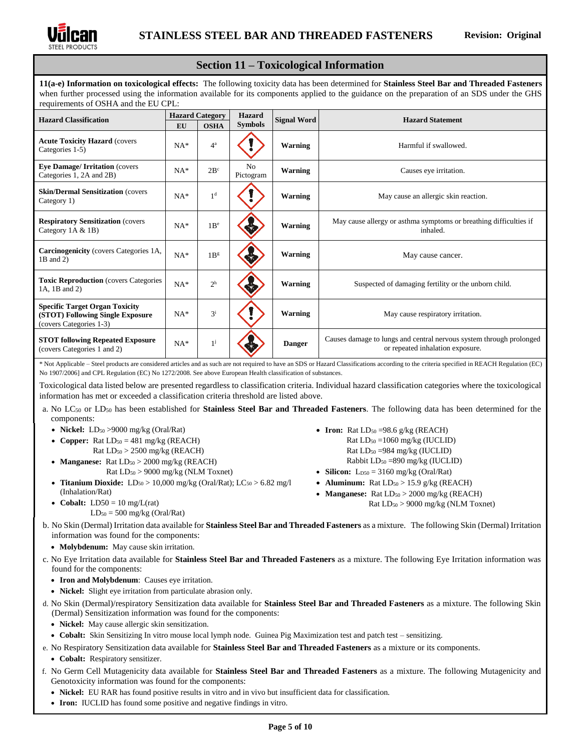

### **Section 11 – Toxicological Information**

**11(a-e) Information on toxicological effects:** The following toxicity data has been determined for **Stainless Steel Bar and Threaded Fasteners** when further processed using the information available for its components applied to the guidance on the preparation of an SDS under the GHS requirements of OSHA and the EU CPL:

| <b>Hazard Classification</b>                                                                         | <b>Hazard Category</b> |                 | <b>Hazard</b>               | <b>Signal Word</b> | <b>Hazard Statement</b>                                                                                 |  |
|------------------------------------------------------------------------------------------------------|------------------------|-----------------|-----------------------------|--------------------|---------------------------------------------------------------------------------------------------------|--|
|                                                                                                      | EU                     | <b>OSHA</b>     | <b>Symbols</b>              |                    |                                                                                                         |  |
| <b>Acute Toxicity Hazard (covers)</b><br>Categories 1-5)                                             | $NA*$                  | $4^a$           |                             | Warning            | Harmful if swallowed.                                                                                   |  |
| <b>Eye Damage/ Irritation (covers)</b><br>Categories 1, 2A and 2B)                                   | $NA*$                  | 2B <sup>c</sup> | N <sub>0</sub><br>Pictogram | <b>Warning</b>     | Causes eye irritation.                                                                                  |  |
| <b>Skin/Dermal Sensitization (covers)</b><br>Category 1)                                             | $NA*$                  | 1 <sup>d</sup>  |                             | <b>Warning</b>     | May cause an allergic skin reaction.                                                                    |  |
| <b>Respiratory Sensitization (covers)</b><br>Category $1A & B$ )                                     | $NA*$                  | 1B <sup>e</sup> |                             | Warning            | May cause allergy or asthma symptoms or breathing difficulties if<br>inhaled.                           |  |
| <b>Carcinogenicity</b> (covers Categories 1A,<br>$1B$ and $2)$                                       | $NA*$                  | 1B <sup>g</sup> |                             | <b>Warning</b>     | May cause cancer.                                                                                       |  |
| <b>Toxic Reproduction</b> (covers Categories<br>1A, 1B and 2)                                        | $NA*$                  | 2 <sup>h</sup>  |                             | <b>Warning</b>     | Suspected of damaging fertility or the unborn child.                                                    |  |
| <b>Specific Target Organ Toxicity</b><br>(STOT) Following Single Exposure<br>(covers Categories 1-3) | $NA*$                  | $3^{i}$         |                             | Warning            | May cause respiratory irritation.                                                                       |  |
| <b>STOT following Repeated Exposure</b><br>(covers Categories 1 and 2)                               | $NA*$                  | $1^{j}$         |                             | <b>Danger</b>      | Causes damage to lungs and central nervous system through prolonged<br>or repeated inhalation exposure. |  |

\* Not Applicable – Steel products are considered articles and as such are not required to have an SDS or Hazard Classifications according to the criteria specified in REACH Regulation (EC) No 1907/2006] and CPL Regulation (EC) No 1272/2008. See above European Health classification of substances.

Toxicological data listed below are presented regardless to classification criteria. Individual hazard classification categories where the toxicological information has met or exceeded a classification criteria threshold are listed above.

- a. No LC<sup>50</sup> or LD<sup>50</sup> has been established for **Stainless Steel Bar and Threaded Fasteners**. The following data has been determined for the components:
	- **Nickel:** LD<sub>50</sub> > 9000 mg/kg (Oral/Rat)
	- **Copper:** Rat  $LD_{50} = 481$  mg/kg (REACH)  $Rat LD<sub>50</sub> > 2500 mg/kg (REACH)$
	- **Manganese:** Rat  $LD_{50} > 2000$  mg/kg (REACH) Rat LD<sup>50</sup> > 9000 mg/kg (NLM Toxnet)
	- **Titanium Dioxide:**  $LD_{50} > 10,000$  mg/kg (Oral/Rat);  $LC_{50} > 6.82$  mg/l (Inhalation/Rat)
	- **Cobalt:**  $LD50 = 10$  mg/ $L(rat)$  $LD_{50} = 500$  mg/kg (Oral/Rat)

Rat  $LD_{50} = 1060$  mg/kg (IUCLID) Rat  $LD_{50} = 984$  mg/kg (IUCLID) Rabbit  $LD_{50} = 890$  mg/kg (IUCLID)

• **Iron:** Rat  $LD_{50} = 98.6$  g/kg (REACH)

- **Silicon:**  $L_{D50} = 3160$  mg/kg (Oral/Rat)
- **Aluminum:** Rat  $LD_{50} > 15.9$  g/kg (REACH)
- **Manganese:** Rat  $LD_{50} > 2000$  mg/kg (REACH)
	- Rat LD<sup>50</sup> > 9000 mg/kg (NLM Toxnet)

b. No Skin (Dermal) Irritation data available for **Stainless Steel Bar and Threaded Fasteners** as a mixture. The following Skin (Dermal) Irritation information was found for the components:

- **Molybdenum:** May cause skin irritation.
- c. No Eye Irritation data available for **Stainless Steel Bar and Threaded Fasteners** as a mixture. The following Eye Irritation information was found for the components:
	- **Iron and Molybdenum**: Causes eye irritation.
	- **Nickel:** Slight eye irritation from particulate abrasion only.
- d. No Skin (Dermal)/respiratory Sensitization data available for **Stainless Steel Bar and Threaded Fasteners** as a mixture. The following Skin (Dermal) Sensitization information was found for the components:
	- **Nickel:** May cause allergic skin sensitization.
	- **Cobalt:** Skin Sensitizing In vitro mouse local lymph node. Guinea Pig Maximization test and patch test sensitizing.
- e. No Respiratory Sensitization data available for **Stainless Steel Bar and Threaded Fasteners** as a mixture or its components.
	- **Cobalt:** Respiratory sensitizer.
- f. No Germ Cell Mutagenicity data available for **Stainless Steel Bar and Threaded Fasteners** as a mixture. The following Mutagenicity and Genotoxicity information was found for the components:
	- **Nickel:** EU RAR has found positive results in vitro and in vivo but insufficient data for classification.
	- **Iron:** IUCLID has found some positive and negative findings in vitro.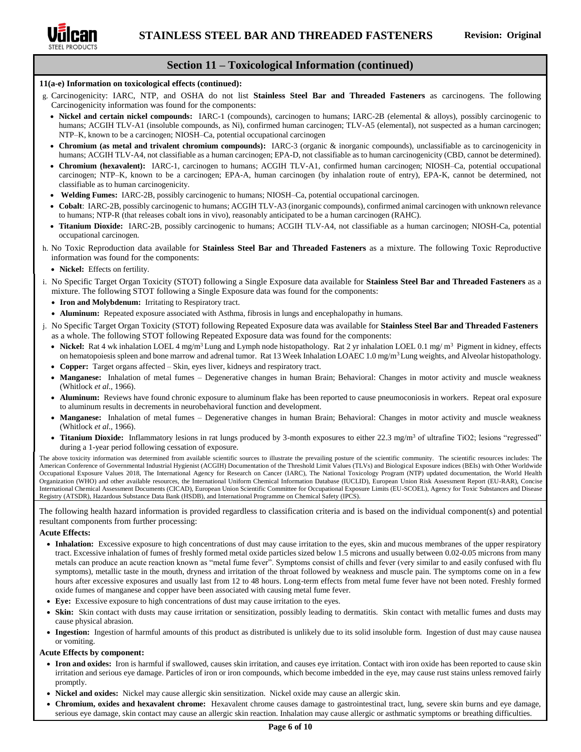

### **Section 11 – Toxicological Information (continued)**

#### **11(a-e) Information on toxicological effects (continued):**

- g. Carcinogenicity: IARC, NTP, and OSHA do not list **Stainless Steel Bar and Threaded Fasteners** as carcinogens. The following Carcinogenicity information was found for the components:
	- **Nickel and certain nickel compounds:** IARC-1 (compounds), carcinogen to humans; IARC-2B (elemental & alloys), possibly carcinogenic to humans; ACGIH TLV-A1 (insoluble compounds, as Ni), confirmed human carcinogen; TLV-A5 (elemental), not suspected as a human carcinogen; NTP–K, known to be a carcinogen; NIOSH–Ca, potential occupational carcinogen
	- **Chromium (as metal and trivalent chromium compounds):** IARC-3 (organic & inorganic compounds), unclassifiable as to carcinogenicity in humans; ACGIH TLV-A4, not classifiable as a human carcinogen; EPA-D, not classifiable as to human carcinogenicity (CBD, cannot be determined).
	- **Chromium (hexavalent):** IARC-1, carcinogen to humans; ACGIH TLV-A1, confirmed human carcinogen; NIOSH–Ca, potential occupational carcinogen; NTP–K, known to be a carcinogen; EPA-A, human carcinogen (by inhalation route of entry), EPA-K, cannot be determined, not classifiable as to human carcinogenicity.
	- **Welding Fumes:** IARC-2B, possibly carcinogenic to humans; NIOSH–Ca, potential occupational carcinogen.
	- **Cobalt**: IARC-2B, possibly carcinogenic to humans; ACGIH TLV-A3 (inorganic compounds), confirmed animal carcinogen with unknown relevance to humans; NTP-R (that releases cobalt ions in vivo), reasonably anticipated to be a human carcinogen (RAHC).
	- **Titanium Dioxide:** IARC-2B, possibly carcinogenic to humans; ACGIH TLV-A4, not classifiable as a human carcinogen; NIOSH-Ca, potential occupational carcinogen.
- h. No Toxic Reproduction data available for **Stainless Steel Bar and Threaded Fasteners** as a mixture. The following Toxic Reproductive information was found for the components:
	- **Nickel:** Effects on fertility.
- i. No Specific Target Organ Toxicity (STOT) following a Single Exposure data available for **Stainless Steel Bar and Threaded Fasteners** as a mixture. The following STOT following a Single Exposure data was found for the components:
	- **Iron and Molybdenum:** Irritating to Respiratory tract.
	- **Aluminum:** Repeated exposure associated with Asthma, fibrosis in lungs and encephalopathy in humans.
- j. No Specific Target Organ Toxicity (STOT) following Repeated Exposure data was available for **Stainless Steel Bar and Threaded Fasteners** as a whole. The following STOT following Repeated Exposure data was found for the components:
	- Nickel: Rat 4 wk inhalation LOEL 4 mg/m<sup>3</sup> Lung and Lymph node histopathology. Rat 2 yr inhalation LOEL 0.1 mg/ m<sup>3</sup> Pigment in kidney, effects on hematopoiesis spleen and bone marrow and adrenal tumor. Rat 13 Week Inhalation LOAEC 1.0 mg/m<sup>3</sup>Lung weights, and Alveolar histopathology.
	- **Copper:** Target organs affected Skin, eyes liver, kidneys and respiratory tract.
	- **Manganese:** Inhalation of metal fumes Degenerative changes in human Brain; Behavioral: Changes in motor activity and muscle weakness (Whitlock *et al.,* 1966).
	- Aluminum: Reviews have found chronic exposure to aluminum flake has been reported to cause pneumoconiosis in workers. Repeat oral exposure to aluminum results in decrements in neurobehavioral function and development.
	- **Manganese:** Inhalation of metal fumes Degenerative changes in human Brain; Behavioral: Changes in motor activity and muscle weakness (Whitlock *et al.,* 1966).
	- **Titanium Dioxide:** Inflammatory lesions in rat lungs produced by 3-month exposures to either 22.3 mg/m<sup>3</sup> of ultrafine TiO2; lesions "regressed" during a 1-year period following cessation of exposure.

The above toxicity information was determined from available scientific sources to illustrate the prevailing posture of the scientific community. The scientific resources includes: The American Conference of Governmental Industrial Hygienist (ACGIH) Documentation of the Threshold Limit Values (TLVs) and Biological Exposure indices (BEIs) with Other Worldwide Occupational Exposure Values 2018, The International Agency for Research on Cancer (IARC), The National Toxicology Program (NTP) updated documentation, the World Health Organization (WHO) and other available resources, the International Uniform Chemical Information Database (IUCLID), European Union Risk Assessment Report (EU-RAR), Concise International Chemical Assessment Documents (CICAD), European Union Scientific Committee for Occupational Exposure Limits (EU-SCOEL), Agency for Toxic Substances and Disease Registry (ATSDR), Hazardous Substance Data Bank (HSDB), and International Programme on Chemical Safety (IPCS).

The following health hazard information is provided regardless to classification criteria and is based on the individual component(s) and potential resultant components from further processing:

#### **Acute Effects:**

- **Inhalation:** Excessive exposure to high concentrations of dust may cause irritation to the eyes, skin and mucous membranes of the upper respiratory tract. Excessive inhalation of fumes of freshly formed metal oxide particles sized below 1.5 microns and usually between 0.02-0.05 microns from many metals can produce an acute reaction known as "metal fume fever". Symptoms consist of chills and fever (very similar to and easily confused with flu symptoms), metallic taste in the mouth, dryness and irritation of the throat followed by weakness and muscle pain. The symptoms come on in a few hours after excessive exposures and usually last from 12 to 48 hours. Long-term effects from metal fume fever have not been noted. Freshly formed oxide fumes of manganese and copper have been associated with causing metal fume fever.
- **Eye:** Excessive exposure to high concentrations of dust may cause irritation to the eyes.
- **Skin:** Skin contact with dusts may cause irritation or sensitization, possibly leading to dermatitis. Skin contact with metallic fumes and dusts may cause physical abrasion.
- **Ingestion:** Ingestion of harmful amounts of this product as distributed is unlikely due to its solid insoluble form. Ingestion of dust may cause nausea or vomiting.

#### **Acute Effects by component:**

- **Iron and oxides:** Iron is harmful if swallowed, causes skin irritation, and causes eye irritation. Contact with iron oxide has been reported to cause skin irritation and serious eye damage. Particles of iron or iron compounds, which become imbedded in the eye, may cause rust stains unless removed fairly promptly.
- **Nickel and oxides:** Nickel may cause allergic skin sensitization. Nickel oxide may cause an allergic skin.
- **Chromium, oxides and hexavalent chrome:** Hexavalent chrome causes damage to gastrointestinal tract, lung, severe skin burns and eye damage, serious eye damage, skin contact may cause an allergic skin reaction. Inhalation may cause allergic or asthmatic symptoms or breathing difficulties.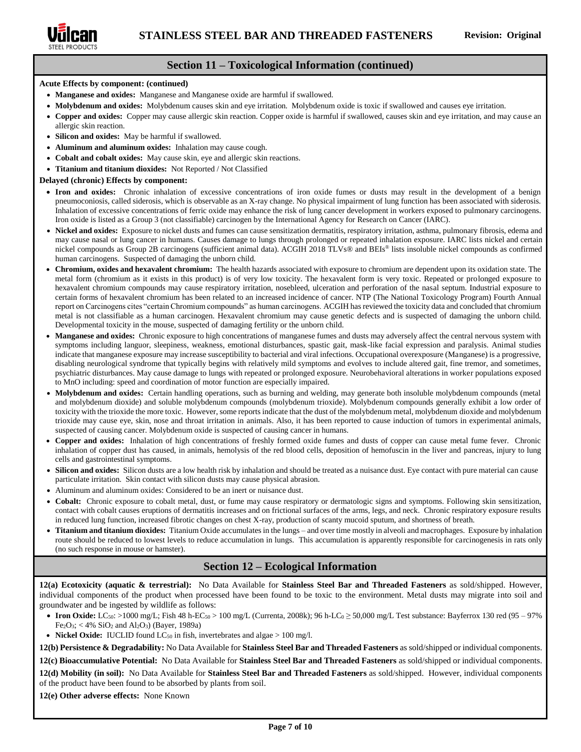

### **Section 11 – Toxicological Information (continued)**

#### **Acute Effects by component: (continued)**

- **Manganese and oxides:** Manganese and Manganese oxide are harmful if swallowed.
- **Molybdenum and oxides:** Molybdenum causes skin and eye irritation. Molybdenum oxide is toxic if swallowed and causes eye irritation.
- **Copper and oxides:** Copper may cause allergic skin reaction. Copper oxide is harmful if swallowed, causes skin and eye irritation, and may cause an allergic skin reaction.
- Silicon and oxides: May be harmful if swallowed.
- **Aluminum and aluminum oxides:** Inhalation may cause cough.
- **Cobalt and cobalt oxides:** May cause skin, eye and allergic skin reactions.
- **Titanium and titanium dioxides:** Not Reported / Not Classified

#### **Delayed (chronic) Effects by component:**

- **Iron and oxides:** Chronic inhalation of excessive concentrations of iron oxide fumes or dusts may result in the development of a benign pneumoconiosis, called siderosis, which is observable as an X-ray change. No physical impairment of lung function has been associated with siderosis. Inhalation of excessive concentrations of ferric oxide may enhance the risk of lung cancer development in workers exposed to pulmonary carcinogens. Iron oxide is listed as a Group 3 (not classifiable) carcinogen by the International Agency for Research on Cancer (IARC).
- **Nickel and oxides:** Exposure to nickel dusts and fumes can cause sensitization dermatitis, respiratory irritation, asthma, pulmonary fibrosis, edema and may cause nasal or lung cancer in humans. Causes damage to lungs through prolonged or repeated inhalation exposure. IARC lists nickel and certain nickel compounds as Group 2B carcinogens (sufficient animal data). ACGIH 2018 TLVs® and BEIs® lists insoluble nickel compounds as confirmed human carcinogens. Suspected of damaging the unborn child.
- **Chromium, oxides and hexavalent chromium:** The health hazards associated with exposure to chromium are dependent upon its oxidation state. The metal form (chromium as it exists in this product) is of very low toxicity. The hexavalent form is very toxic. Repeated or prolonged exposure to hexavalent chromium compounds may cause respiratory irritation, nosebleed, ulceration and perforation of the nasal septum. Industrial exposure to certain forms of hexavalent chromium has been related to an increased incidence of cancer. NTP (The National Toxicology Program) Fourth Annual report on Carcinogens cites "certain Chromium compounds" as human carcinogens. ACGIH has reviewed the toxicity data and concluded that chromium metal is not classifiable as a human carcinogen. Hexavalent chromium may cause genetic defects and is suspected of damaging the unborn child. Developmental toxicity in the mouse, suspected of damaging fertility or the unborn child.
- **Manganese and oxides:** Chronic exposure to high concentrations of manganese fumes and dusts may adversely affect the central nervous system with symptoms including languor, sleepiness, weakness, emotional disturbances, spastic gait, mask-like facial expression and paralysis. Animal studies indicate that manganese exposure may increase susceptibility to bacterial and viral infections. Occupational overexposure (Manganese) is a progressive, disabling neurological syndrome that typically begins with relatively mild symptoms and evolves to include altered gait, fine tremor, and sometimes, psychiatric disturbances. May cause damage to lungs with repeated or prolonged exposure. Neurobehavioral alterations in worker populations exposed to MnO including: speed and coordination of motor function are especially impaired.
- **Molybdenum and oxides:** Certain handling operations, such as burning and welding, may generate both insoluble molybdenum compounds (metal and molybdenum dioxide) and soluble molybdenum compounds (molybdenum trioxide). Molybdenum compounds generally exhibit a low order of toxicity with the trioxide the more toxic. However, some reports indicate that the dust of the molybdenum metal, molybdenum dioxide and molybdenum trioxide may cause eye, skin, nose and throat irritation in animals. Also, it has been reported to cause induction of tumors in experimental animals, suspected of causing cancer. Molybdenum oxide is suspected of causing cancer in humans.
- **Copper and oxides:** Inhalation of high concentrations of freshly formed oxide fumes and dusts of copper can cause metal fume fever. Chronic inhalation of copper dust has caused, in animals, hemolysis of the red blood cells, deposition of hemofuscin in the liver and pancreas, injury to lung cells and gastrointestinal symptoms.
- **Silicon and oxides:** Silicon dusts are a low health risk by inhalation and should be treated as a nuisance dust. Eye contact with pure material can cause particulate irritation. Skin contact with silicon dusts may cause physical abrasion.
- Aluminum and aluminum oxides: Considered to be an inert or nuisance dust.
- **Cobalt:** Chronic exposure to cobalt metal, dust, or fume may cause respiratory or dermatologic signs and symptoms. Following skin sensitization, contact with cobalt causes eruptions of dermatitis increases and on frictional surfaces of the arms, legs, and neck. Chronic respiratory exposure results in reduced lung function, increased fibrotic changes on chest X-ray, production of scanty mucoid sputum, and shortness of breath.
- **Titanium and titanium dioxides:** Titanium Oxide accumulates in the lungs and over time mostly in alveoli and macrophages. Exposure by inhalation route should be reduced to lowest levels to reduce accumulation in lungs. This accumulation is apparently responsible for carcinogenesis in rats only (no such response in mouse or hamster).

### **Section 12 – Ecological Information**

**12(a) Ecotoxicity (aquatic & terrestrial):** No Data Available for **Stainless Steel Bar and Threaded Fasteners** as sold/shipped. However, individual components of the product when processed have been found to be toxic to the environment. Metal dusts may migrate into soil and groundwater and be ingested by wildlife as follows:

- **Iron Oxide:** LC<sub>50</sub>: >1000 mg/L; Fish 48 h-EC<sub>50</sub> > 100 mg/L (Currenta, 2008k); 96 h-LC<sub>0</sub> ≥ 50,000 mg/L Test substance: Bayferrox 130 red (95 97%) Fe2O3; < 4% SiO<sup>2</sup> and Al2O3) (Bayer, 1989a)
- **Nickel Oxide:** IUCLID found  $LC_{50}$  in fish, invertebrates and algae > 100 mg/l.

**12(b) Persistence & Degradability:** No Data Available for **Stainless Steel Bar and Threaded Fasteners** as sold/shipped or individual components. **12(c) Bioaccumulative Potential:** No Data Available for **Stainless Steel Bar and Threaded Fasteners** as sold/shipped or individual components.

**12(d) Mobility (in soil):** No Data Available for **Stainless Steel Bar and Threaded Fasteners** as sold/shipped. However, individual components of the product have been found to be absorbed by plants from soil.

**12(e) Other adverse effects:** None Known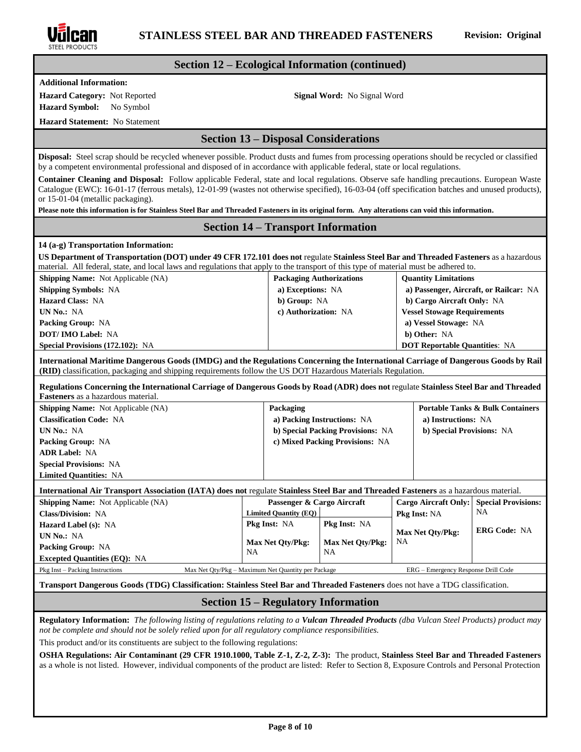

### **Section 12 – Ecological Information (continued)**

**Additional Information:**

**Hazard Category:** Not Reported **Signal Word:** No Signal Word

**Hazard Symbol:** No Symbol **Hazard Statement:** No Statement

**Disposal:** Steel scrap should be recycled whenever possible. Product dusts and fumes from processing operations should be recycled or classified by a competent environmental professional and disposed of in accordance with applicable federal, state or local regulations.

**Section 13 – Disposal Considerations**

**Container Cleaning and Disposal:** Follow applicable Federal, state and local regulations. Observe safe handling precautions. European Waste Catalogue (EWC): 16-01-17 (ferrous metals), 12-01-99 (wastes not otherwise specified), 16-03-04 (off specification batches and unused products), or 15-01-04 (metallic packaging).

**Please note this information is for Stainless Steel Bar and Threaded Fasteners in its original form. Any alterations can void this information.**

### **Section 14 – Transport Information**

#### **14 (a-g) Transportation Information:**

**US Department of Transportation (DOT) under 49 CFR 172.101 does not** regulate **Stainless Steel Bar and Threaded Fasteners** as a hazardous material. All federal, state, and local laws and regulations that apply to the transport of this type of material must be adhered to.

| <b>Shipping Name:</b> Not Applicable (NA) | <b>Packaging Authorizations</b> | <b>Quantity Limitations</b>            |
|-------------------------------------------|---------------------------------|----------------------------------------|
| <b>Shipping Symbols: NA</b>               | a) Exceptions: NA               | a) Passenger, Aircraft, or Railcar: NA |
| <b>Hazard Class: NA</b>                   | b) Group: NA                    | b) Cargo Aircraft Only: NA             |
| UN No.: NA                                | c) Authorization: NA            | <b>Vessel Stowage Requirements</b>     |
| <b>Packing Group: NA</b>                  |                                 | a) Vessel Stowage: NA                  |
| <b>DOT/IMO Label: NA</b>                  |                                 | b) Other: NA                           |
| <b>Special Provisions (172.102): NA</b>   |                                 | <b>DOT Reportable Quantities: NA</b>   |

**International Maritime Dangerous Goods (IMDG) and the Regulations Concerning the International Carriage of Dangerous Goods by Rail (RID)** classification, packaging and shipping requirements follow the US DOT Hazardous Materials Regulation.

**Regulations Concerning the International Carriage of Dangerous Goods by Road (ADR) does not** regulate **Stainless Steel Bar and Threaded Fasteners** as a hazardous material.

| <b>Shipping Name:</b> Not Applicable (NA) | Packaging                         | <b>Portable Tanks &amp; Bulk Containers</b> |
|-------------------------------------------|-----------------------------------|---------------------------------------------|
| <b>Classification Code: NA</b>            | a) Packing Instructions: NA       | a) Instructions: NA                         |
| UN No.: NA                                | b) Special Packing Provisions: NA | b) Special Provisions: NA                   |
| <b>Packing Group: NA</b>                  | c) Mixed Packing Provisions: NA   |                                             |
| <b>ADR Label: NA</b>                      |                                   |                                             |
| <b>Special Provisions: NA</b>             |                                   |                                             |
| <b>Limited Quantities: NA</b>             |                                   |                                             |
|                                           |                                   |                                             |

#### **International Air Transport Association (IATA) does not** regulate **Stainless Steel Bar and Threaded Fasteners** as a hazardous material.

| Passenger & Cargo Aircraft<br><b>Shipping Name:</b> Not Applicable (NA) |                                                    | Cargo Aircraft Only: Special Provisions: |                                     |                     |
|-------------------------------------------------------------------------|----------------------------------------------------|------------------------------------------|-------------------------------------|---------------------|
| <b>Class/Division: NA</b>                                               | Limited Quantity (EQ)                              |                                          | <b>Pkg Inst: NA</b>                 | NA                  |
| <b>Hazard Label (s): NA</b>                                             | <b>Pkg Inst: NA</b>                                | <b>Pkg Inst: NA</b>                      |                                     | <b>ERG Code: NA</b> |
| UN No.: NA                                                              |                                                    |                                          | <b>Max Net Oty/Pkg:</b>             |                     |
| <b>Packing Group: NA</b>                                                | Max Net Qty/Pkg:<br>NA.                            | <b>Max Net Oty/Pkg:</b><br><b>NA</b>     | <b>NA</b>                           |                     |
| <b>Excepted Quantities (EQ): NA</b>                                     |                                                    |                                          |                                     |                     |
| Pkg Inst – Packing Instructions                                         | Max Net Oty/Pkg – Maximum Net Quantity per Package |                                          | ERG – Emergency Response Drill Code |                     |

#### **Transport Dangerous Goods (TDG) Classification: Stainless Steel Bar and Threaded Fasteners** does not have a TDG classification.

### **Section 15 – Regulatory Information**

**Regulatory Information:** *The following listing of regulations relating to a Vulcan Threaded Products (dba Vulcan Steel Products) product may not be complete and should not be solely relied upon for all regulatory compliance responsibilities.*

This product and/or its constituents are subject to the following regulations:

**OSHA Regulations: Air Contaminant (29 CFR 1910.1000, Table Z-1, Z-2, Z-3):** The product, **Stainless Steel Bar and Threaded Fasteners**  as a whole is not listed. However, individual components of the product are listed: Refer to Section 8, Exposure Controls and Personal Protection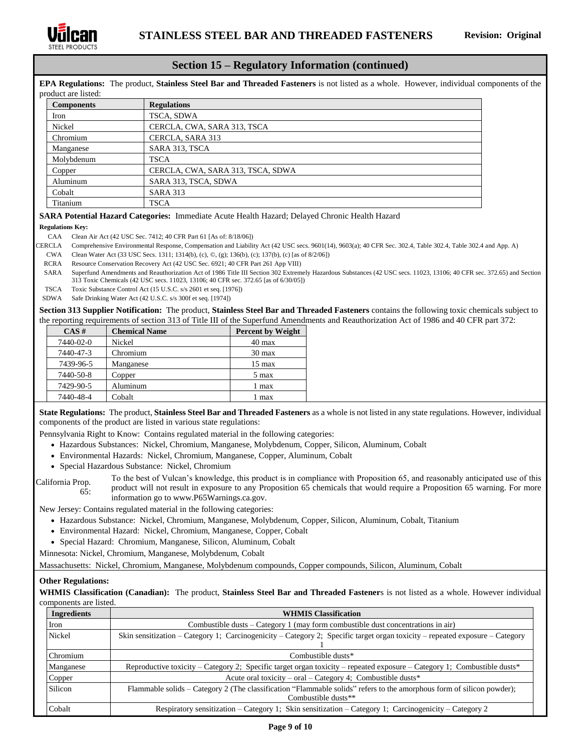

### **Section 15 – Regulatory Information (continued)**

**EPA Regulations:** The product, **Stainless Steel Bar and Threaded Fasteners** is not listed as a whole. However, individual components of the product are listed:

| <b>Components</b> | <b>Regulations</b>                |
|-------------------|-----------------------------------|
| Iron              | TSCA, SDWA                        |
| Nickel            | CERCLA, CWA, SARA 313, TSCA       |
| Chromium          | CERCLA, SARA 313                  |
| Manganese         | SARA 313, TSCA                    |
| Molybdenum        | TSCA                              |
| Copper            | CERCLA, CWA, SARA 313, TSCA, SDWA |
| Aluminum          | SARA 313, TSCA, SDWA              |
| Cobalt            | <b>SARA 313</b>                   |
| Titanium          | TSCA                              |

#### **SARA Potential Hazard Categories:** Immediate Acute Health Hazard; Delayed Chronic Health Hazard

**Regulations Key:**

- CAA Clean Air Act (42 USC Sec. 7412; 40 CFR Part 61 [As of: 8/18/06])
- CERCLA Comprehensive Environmental Response, Compensation and Liability Act (42 USC secs. 9601(14), 9603(a); 40 CFR Sec. 302.4, Table 302.4, Table 302.4 and App. A)
	- CWA Clean Water Act (33 USC Secs. 1311; 1314(b), (c), ©, (g); 136(b), (c); 137(b), (c) [as of 8/2/06])
- RCRA Resource Conservation Recovery Act (42 USC Sec. 6921; 40 CFR Part 261 App VIII)
- SARA Superfund Amendments and Reauthorization Act of 1986 Title III Section 302 Extremely Hazardous Substances (42 USC secs. 11023, 13106; 40 CFR sec. 372.65) and Section 313 Toxic Chemicals (42 USC secs. 11023, 13106; 40 CFR sec. 372.65 [as of 6/30/05])
- TSCA Toxic Substance Control Act (15 U.S.C. s/s 2601 et seq. [1976])
- SDWA Safe Drinking Water Act (42 U.S.C. s/s 300f et seq. [1974])

**Section 313 Supplier Notification:** The product, **Stainless Steel Bar and Threaded Fasteners** contains the following toxic chemicals subject to the reporting requirements of section 313 of Title III of the Superfund Amendments and Reauthorization Act of 1986 and 40 CFR part 372:

| $CAS \#$  | <b>Chemical Name</b> | <b>Percent by Weight</b> |
|-----------|----------------------|--------------------------|
| 7440-02-0 | Nickel               | $40 \text{ max}$         |
| 7440-47-3 | Chromium             | $30 \text{ max}$         |
| 7439-96-5 | Manganese            | $15 \text{ max}$         |
| 7440-50-8 | Copper               | 5 max                    |
| 7429-90-5 | Aluminum             | 1 max                    |
| 7440-48-4 | Cobalt               | 1 max                    |

**State Regulations:** The product, **Stainless Steel Bar and Threaded Fasteners** as a whole is not listed in any state regulations. However, individual components of the product are listed in various state regulations:

Pennsylvania Right to Know: Contains regulated material in the following categories:

- Hazardous Substances: Nickel, Chromium, Manganese, Molybdenum, Copper, Silicon, Aluminum, Cobalt
- Environmental Hazards: Nickel, Chromium, Manganese, Copper, Aluminum, Cobalt
- Special Hazardous Substance: Nickel, Chromium
- California Prop. 65: To the best of Vulcan's knowledge, this product is in compliance with Proposition 65, and reasonably anticipated use of this product will not result in exposure to any Proposition 65 chemicals that would require a Proposition 65 warning. For more

information go to www.P65Warnings.ca.gov. New Jersey: Contains regulated material in the following categories:

- Hazardous Substance: Nickel, Chromium, Manganese, Molybdenum, Copper, Silicon, Aluminum, Cobalt, Titanium
- Environmental Hazard: Nickel, Chromium, Manganese, Copper, Cobalt
- Special Hazard: Chromium, Manganese, Silicon, Aluminum, Cobalt

Minnesota: Nickel, Chromium, Manganese, Molybdenum, Cobalt

Massachusetts: Nickel, Chromium, Manganese, Molybdenum compounds, Copper compounds, Silicon, Aluminum, Cobalt

#### **Other Regulations:**

**WHMIS Classification (Canadian):** The product, **Stainless Steel Bar and Threaded Fastener**s is not listed as a whole. However individual components are listed.

| <b>Ingredients</b> | <b>WHMIS Classification</b>                                                                                                                  |  |
|--------------------|----------------------------------------------------------------------------------------------------------------------------------------------|--|
| Iron               | Combustible dusts $-$ Category 1 (may form combustible dust concentrations in air)                                                           |  |
| Nickel             | Skin sensitization – Category 1; Carcinogenicity – Category 2; Specific target organ toxicity – repeated exposure – Category                 |  |
| Chromium           | Combustible dusts*                                                                                                                           |  |
| Manganese          | Reproductive toxicity – Category 2; Specific target organ toxicity – repeated exposure – Category 1; Combustible dusts*                      |  |
| Copper             | Acute oral toxicity – oral – Category 4; Combustible dusts*                                                                                  |  |
| Silicon            | Flammable solids – Category 2 (The classification "Flammable solids" refers to the amorphous form of silicon powder);<br>Combustible dusts** |  |
| Cobalt             | Respiratory sensitization – Category 1; Skin sensitization – Category 1; Carcinogenicity – Category 2                                        |  |